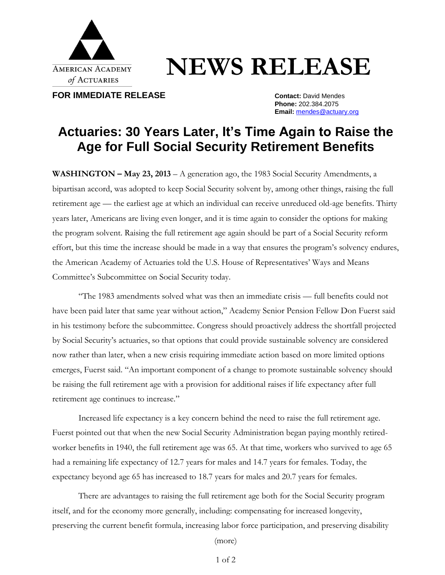

## **NEWS RELEASE**

**FOR IMMEDIATE RELEASE CONTACT: Contact: David Mendes** 

**Phone:** 202.384.2075 **Email:** [mendes@actuary.org](mailto:mendes@actuary.org)

## **Actuaries: 30 Years Later, It's Time Again to Raise the Age for Full Social Security Retirement Benefits**

**WASHINGTON – May 23, 2013** – A generation ago, the 1983 Social Security Amendments, a bipartisan accord, was adopted to keep Social Security solvent by, among other things, raising the full retirement age — the earliest age at which an individual can receive unreduced old-age benefits. Thirty years later, Americans are living even longer, and it is time again to consider the options for making the program solvent. Raising the full retirement age again should be part of a Social Security reform effort, but this time the increase should be made in a way that ensures the program's solvency endures, the American Academy of Actuaries told the U.S. House of Representatives' Ways and Means Committee's Subcommittee on Social Security today.

"The 1983 amendments solved what was then an immediate crisis — full benefits could not have been paid later that same year without action," Academy Senior Pension Fellow Don Fuerst said in his testimony before the subcommittee. Congress should proactively address the shortfall projected by Social Security's actuaries, so that options that could provide sustainable solvency are considered now rather than later, when a new crisis requiring immediate action based on more limited options emerges, Fuerst said. "An important component of a change to promote sustainable solvency should be raising the full retirement age with a provision for additional raises if life expectancy after full retirement age continues to increase."

Increased life expectancy is a key concern behind the need to raise the full retirement age. Fuerst pointed out that when the new Social Security Administration began paying monthly retiredworker benefits in 1940, the full retirement age was 65. At that time, workers who survived to age 65 had a remaining life expectancy of 12.7 years for males and 14.7 years for females. Today, the expectancy beyond age 65 has increased to 18.7 years for males and 20.7 years for females.

There are advantages to raising the full retirement age both for the Social Security program itself, and for the economy more generally, including: compensating for increased longevity, preserving the current benefit formula, increasing labor force participation, and preserving disability

(more)

1 of 2